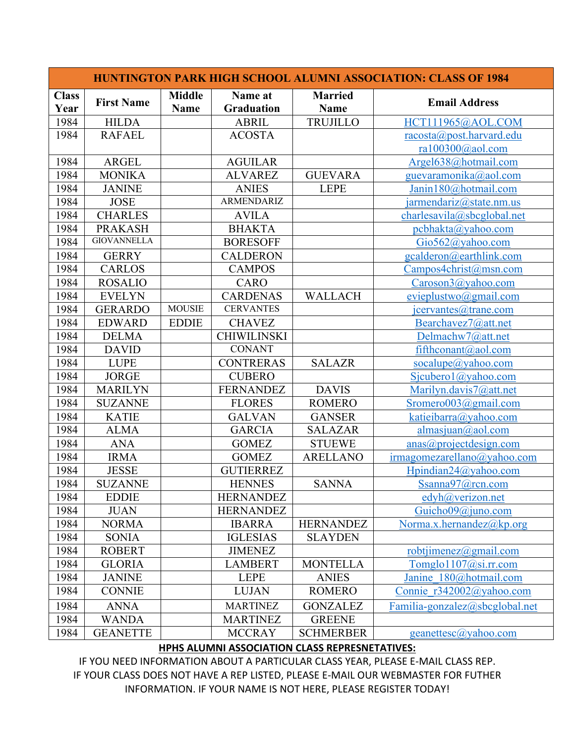| <b>HUNTINGTON PARK HIGH SCHOOL ALUMNI ASSOCIATION: CLASS OF 1984</b> |                    |                              |                              |                               |                                    |  |  |  |
|----------------------------------------------------------------------|--------------------|------------------------------|------------------------------|-------------------------------|------------------------------------|--|--|--|
| <b>Class</b><br>Year                                                 | <b>First Name</b>  | <b>Middle</b><br><b>Name</b> | Name at<br><b>Graduation</b> | <b>Married</b><br><b>Name</b> | <b>Email Address</b>               |  |  |  |
| 1984                                                                 | <b>HILDA</b>       |                              | <b>ABRIL</b>                 | <b>TRUJILLO</b>               | HCT111965@AOL.COM                  |  |  |  |
| 1984                                                                 | <b>RAFAEL</b>      |                              | <b>ACOSTA</b>                |                               | $raccsta(\theta)$ post.harvard.edu |  |  |  |
|                                                                      |                    |                              |                              |                               | ra $100300$ @aol.com               |  |  |  |
| 1984                                                                 | <b>ARGEL</b>       |                              | <b>AGUILAR</b>               |                               | Argel638@hotmail.com               |  |  |  |
| 1984                                                                 | <b>MONIKA</b>      |                              | <b>ALVAREZ</b>               | <b>GUEVARA</b>                | guevaramonika@aol.com              |  |  |  |
| 1984                                                                 | <b>JANINE</b>      |                              | <b>ANIES</b>                 | <b>LEPE</b>                   | Janin180@hotmail.com               |  |  |  |
| 1984                                                                 | <b>JOSE</b>        |                              | ARMENDARIZ                   |                               | $j$ armendariz@state.nm.us         |  |  |  |
| 1984                                                                 | <b>CHARLES</b>     |                              | <b>AVILA</b>                 |                               | charlesavila@sbcglobal.net         |  |  |  |
| 1984                                                                 | <b>PRAKASH</b>     |                              | <b>BHAKTA</b>                |                               | pcbhakta@yahoo.com                 |  |  |  |
| 1984                                                                 | <b>GIOVANNELLA</b> |                              | <b>BORESOFF</b>              |                               | $Gio562(a)$ yahoo.com              |  |  |  |
| 1984                                                                 | <b>GERRY</b>       |                              | <b>CALDERON</b>              |                               | gcalderon@earthlink.com            |  |  |  |
| 1984                                                                 | <b>CARLOS</b>      |                              | <b>CAMPOS</b>                |                               | Campos4christ@msn.com              |  |  |  |
| 1984                                                                 | <b>ROSALIO</b>     |                              | <b>CARO</b>                  |                               | Caroson3@yahoo.com                 |  |  |  |
| 1984                                                                 | <b>EVELYN</b>      |                              | <b>CARDENAS</b>              | <b>WALLACH</b>                | evieplustwo@gmail.com              |  |  |  |
| 1984                                                                 | <b>GERARDO</b>     | <b>MOUSIE</b>                | <b>CERVANTES</b>             |                               | icervantes@trane.com               |  |  |  |
| 1984                                                                 | <b>EDWARD</b>      | <b>EDDIE</b>                 | <b>CHAVEZ</b>                |                               | Bearchavez7@att.net                |  |  |  |
| 1984                                                                 | <b>DELMA</b>       |                              | <b>CHIWILINSKI</b>           |                               | Delmachw7@att.net                  |  |  |  |
| 1984                                                                 | <b>DAVID</b>       |                              | <b>CONANT</b>                |                               | fifthconant@aol.com                |  |  |  |
| 1984                                                                 | <b>LUPE</b>        |                              | <b>CONTRERAS</b>             | <b>SALAZR</b>                 | socialupe@yahoo.com                |  |  |  |
| 1984                                                                 | <b>JORGE</b>       |                              | <b>CUBERO</b>                |                               | Sicubero1@yahoo.com                |  |  |  |
| 1984                                                                 | <b>MARILYN</b>     |                              | <b>FERNANDEZ</b>             | <b>DAVIS</b>                  | Marilyn.davis7@att.net             |  |  |  |
| 1984                                                                 | <b>SUZANNE</b>     |                              | <b>FLORES</b>                | <b>ROMERO</b>                 | Sromero003@gmail.com               |  |  |  |
| 1984                                                                 | <b>KATIE</b>       |                              | <b>GALVAN</b>                | <b>GANSER</b>                 | katieibarra@yahoo.com              |  |  |  |
| 1984                                                                 | <b>ALMA</b>        |                              | <b>GARCIA</b>                | <b>SALAZAR</b>                | almasjuan@aol.com                  |  |  |  |
| 1984                                                                 | <b>ANA</b>         |                              | <b>GOMEZ</b>                 | <b>STUEWE</b>                 | anas@projectdesign.com             |  |  |  |
| 1984                                                                 | <b>IRMA</b>        |                              | <b>GOMEZ</b>                 | <b>ARELLANO</b>               | irmagomezarellano@yahoo.com        |  |  |  |
| 1984                                                                 | <b>JESSE</b>       |                              | <b>GUTIERREZ</b>             |                               | Hpindian24@yahoo.com               |  |  |  |
| 1984                                                                 | <b>SUZANNE</b>     |                              | <b>HENNES</b>                | <b>SANNA</b>                  | Ssanna97@rcn.com                   |  |  |  |
| 1984                                                                 | <b>EDDIE</b>       |                              | <b>HERNANDEZ</b>             |                               | edyh@verizon.net                   |  |  |  |
| 1984                                                                 | <b>JUAN</b>        |                              | <b>HERNANDEZ</b>             |                               | Guicho09@juno.com                  |  |  |  |
| 1984                                                                 | <b>NORMA</b>       |                              | <b>IBARRA</b>                | <b>HERNANDEZ</b>              | Norma.x.hernandez@kp.org           |  |  |  |
| 1984                                                                 | <b>SONIA</b>       |                              | <b>IGLESIAS</b>              | <b>SLAYDEN</b>                |                                    |  |  |  |
| 1984                                                                 | <b>ROBERT</b>      |                              | <b>JIMENEZ</b>               |                               | robtjimenez@gmail.com              |  |  |  |
| 1984                                                                 | <b>GLORIA</b>      |                              | <b>LAMBERT</b>               | <b>MONTELLA</b>               | Tomglo1107@si.rr.com               |  |  |  |
| 1984                                                                 | <b>JANINE</b>      |                              | <b>LEPE</b>                  | <b>ANIES</b>                  | Janine 180@hotmail.com             |  |  |  |
| 1984                                                                 | <b>CONNIE</b>      |                              | <b>LUJAN</b>                 | <b>ROMERO</b>                 | Connie r342002@yahoo.com           |  |  |  |
| 1984                                                                 | <b>ANNA</b>        |                              | <b>MARTINEZ</b>              | <b>GONZALEZ</b>               | Familia-gonzalez@sbcglobal.net     |  |  |  |
| 1984                                                                 | <b>WANDA</b>       |                              | <b>MARTINEZ</b>              | <b>GREENE</b>                 |                                    |  |  |  |
| 1984                                                                 | <b>GEANETTE</b>    |                              | <b>MCCRAY</b>                | <b>SCHMERBER</b>              | geanettesc@yahoo.com               |  |  |  |

## **HPHS ALUMNI ASSOCIATION CLASS REPRESNETATIVES:**

IF YOU NEED INFORMATION ABOUT A PARTICULAR CLASS YEAR, PLEASE E-MAIL CLASS REP. IF YOUR CLASS DOES NOT HAVE A REP LISTED, PLEASE E-MAIL OUR WEBMASTER FOR FUTHER INFORMATION. IF YOUR NAME IS NOT HERE, PLEASE REGISTER TODAY!